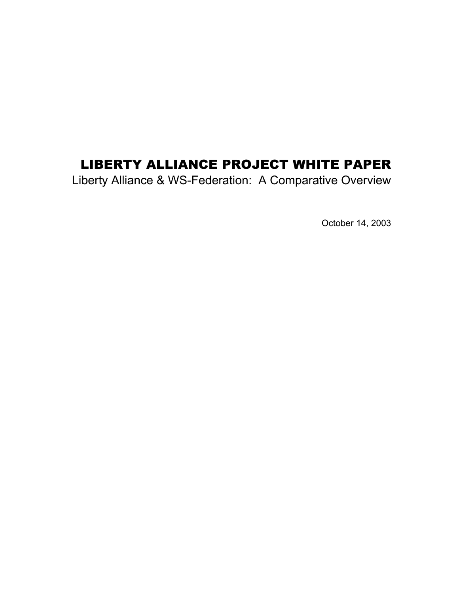# LIBERTY ALLIANCE PROJECT WHITE PAPER

Liberty Alliance & WS-Federation: A Comparative Overview

October 14, 2003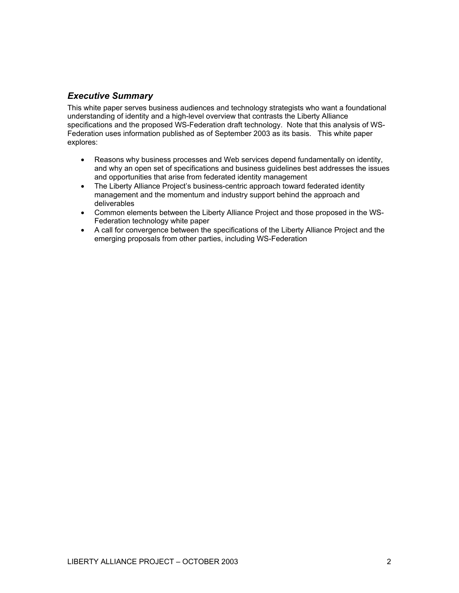# *Executive Summary*

This white paper serves business audiences and technology strategists who want a foundational understanding of identity and a high-level overview that contrasts the Liberty Alliance specifications and the proposed WS-Federation draft technology. Note that this analysis of WS-Federation uses information published as of September 2003 as its basis. This white paper explores:

- Reasons why business processes and Web services depend fundamentally on identity, and why an open set of specifications and business guidelines best addresses the issues and opportunities that arise from federated identity management
- The Liberty Alliance Project's business-centric approach toward federated identity management and the momentum and industry support behind the approach and deliverables
- Common elements between the Liberty Alliance Project and those proposed in the WS-Federation technology white paper
- A call for convergence between the specifications of the Liberty Alliance Project and the emerging proposals from other parties, including WS-Federation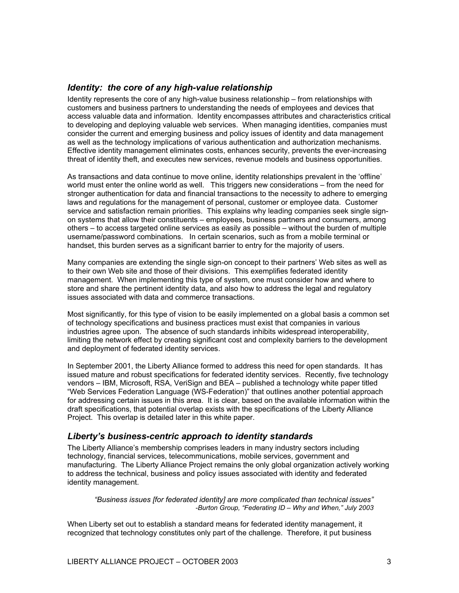## *Identity: the core of any high-value relationship*

Identity represents the core of any high-value business relationship – from relationships with customers and business partners to understanding the needs of employees and devices that access valuable data and information. Identity encompasses attributes and characteristics critical to developing and deploying valuable web services. When managing identities, companies must consider the current and emerging business and policy issues of identity and data management as well as the technology implications of various authentication and authorization mechanisms. Effective identity management eliminates costs, enhances security, prevents the ever-increasing threat of identity theft, and executes new services, revenue models and business opportunities.

As transactions and data continue to move online, identity relationships prevalent in the 'offline' world must enter the online world as well. This triggers new considerations – from the need for stronger authentication for data and financial transactions to the necessity to adhere to emerging laws and regulations for the management of personal, customer or employee data. Customer service and satisfaction remain priorities. This explains why leading companies seek single signon systems that allow their constituents – employees, business partners and consumers, among others – to access targeted online services as easily as possible – without the burden of multiple username/password combinations. In certain scenarios, such as from a mobile terminal or handset, this burden serves as a significant barrier to entry for the majority of users.

Many companies are extending the single sign-on concept to their partners' Web sites as well as to their own Web site and those of their divisions. This exemplifies federated identity management. When implementing this type of system, one must consider how and where to store and share the pertinent identity data, and also how to address the legal and regulatory issues associated with data and commerce transactions.

Most significantly, for this type of vision to be easily implemented on a global basis a common set of technology specifications and business practices must exist that companies in various industries agree upon. The absence of such standards inhibits widespread interoperability, limiting the network effect by creating significant cost and complexity barriers to the development and deployment of federated identity services.

In September 2001, the Liberty Alliance formed to address this need for open standards. It has issued mature and robust specifications for federated identity services. Recently, five technology vendors – IBM, Microsoft, RSA, VeriSign and BEA – published a technology white paper titled "Web Services Federation Language (WS-Federation)" that outlines another potential approach for addressing certain issues in this area. It is clear, based on the available information within the draft specifications, that potential overlap exists with the specifications of the Liberty Alliance Project. This overlap is detailed later in this white paper.

## *Liberty's business-centric approach to identity standards*

The Liberty Alliance's membership comprises leaders in many industry sectors including technology, financial services, telecommunications, mobile services, government and manufacturing. The Liberty Alliance Project remains the only global organization actively working to address the technical, business and policy issues associated with identity and federated identity management.

*"Business issues [for federated identity] are more complicated than technical issues" -Burton Group, "Federating ID – Why and When," July 2003*

When Liberty set out to establish a standard means for federated identity management, it recognized that technology constitutes only part of the challenge. Therefore, it put business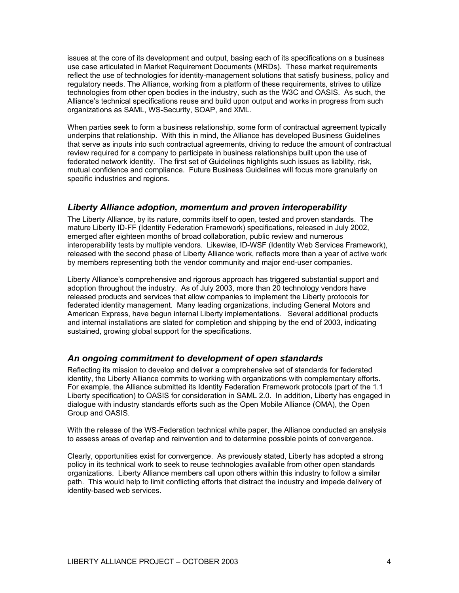issues at the core of its development and output, basing each of its specifications on a business use case articulated in Market Requirement Documents (MRDs). These market requirements reflect the use of technologies for identity-management solutions that satisfy business, policy and regulatory needs. The Alliance, working from a platform of these requirements, strives to utilize technologies from other open bodies in the industry, such as the W3C and OASIS. As such, the Alliance's technical specifications reuse and build upon output and works in progress from such organizations as SAML, WS-Security, SOAP, and XML.

When parties seek to form a business relationship, some form of contractual agreement typically underpins that relationship. With this in mind, the Alliance has developed Business Guidelines that serve as inputs into such contractual agreements, driving to reduce the amount of contractual review required for a company to participate in business relationships built upon the use of federated network identity. The first set of Guidelines highlights such issues as liability, risk, mutual confidence and compliance. Future Business Guidelines will focus more granularly on specific industries and regions.

#### *Liberty Alliance adoption, momentum and proven interoperability*

The Liberty Alliance, by its nature, commits itself to open, tested and proven standards. The mature Liberty ID-FF (Identity Federation Framework) specifications, released in July 2002, emerged after eighteen months of broad collaboration, public review and numerous interoperability tests by multiple vendors. Likewise, ID-WSF (Identity Web Services Framework), released with the second phase of Liberty Alliance work, reflects more than a year of active work by members representing both the vendor community and major end-user companies.

Liberty Alliance's comprehensive and rigorous approach has triggered substantial support and adoption throughout the industry. As of July 2003, more than 20 technology vendors have released products and services that allow companies to implement the Liberty protocols for federated identity management. Many leading organizations, including General Motors and American Express, have begun internal Liberty implementations. Several additional products and internal installations are slated for completion and shipping by the end of 2003, indicating sustained, growing global support for the specifications.

#### *An ongoing commitment to development of open standards*

Reflecting its mission to develop and deliver a comprehensive set of standards for federated identity, the Liberty Alliance commits to working with organizations with complementary efforts. For example, the Alliance submitted its Identity Federation Framework protocols (part of the 1.1 Liberty specification) to OASIS for consideration in SAML 2.0. In addition, Liberty has engaged in dialogue with industry standards efforts such as the Open Mobile Alliance (OMA), the Open Group and OASIS.

With the release of the WS-Federation technical white paper, the Alliance conducted an analysis to assess areas of overlap and reinvention and to determine possible points of convergence.

Clearly, opportunities exist for convergence. As previously stated, Liberty has adopted a strong policy in its technical work to seek to reuse technologies available from other open standards organizations. Liberty Alliance members call upon others within this industry to follow a similar path. This would help to limit conflicting efforts that distract the industry and impede delivery of identity-based web services.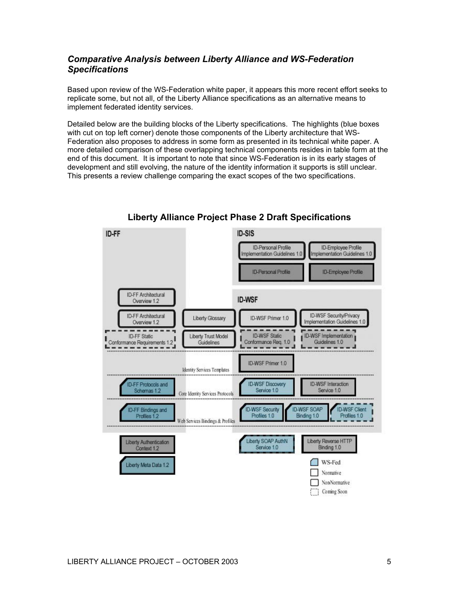# *Comparative Analysis between Liberty Alliance and WS-Federation Specifications*

Based upon review of the WS-Federation white paper, it appears this more recent effort seeks to replicate some, but not all, of the Liberty Alliance specifications as an alternative means to implement federated identity services.

Detailed below are the building blocks of the Liberty specifications. The highlights (blue boxes with cut on top left corner) denote those components of the Liberty architecture that WS-Federation also proposes to address in some form as presented in its technical white paper. A more detailed comparison of these overlapping technical components resides in table form at the end of this document. It is important to note that since WS-Federation is in its early stages of development and still evolving, the nature of the identity information it supports is still unclear. This presents a review challenge comparing the exact scopes of the two specifications.



# **Liberty Alliance Project Phase 2 Draft Specifications**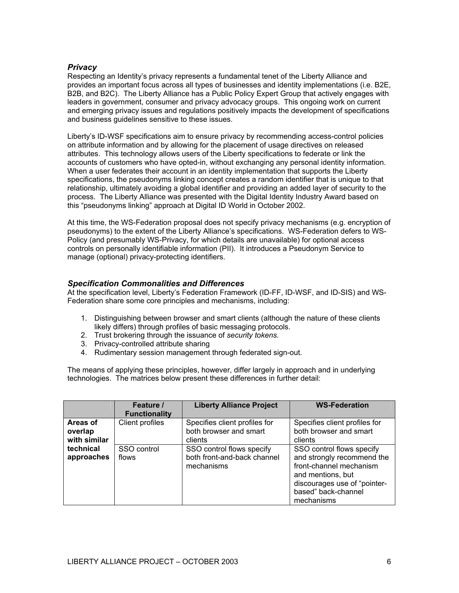#### *Privacy*

Respecting an Identity's privacy represents a fundamental tenet of the Liberty Alliance and provides an important focus across all types of businesses and identity implementations (i.e. B2E, B2B, and B2C). The Liberty Alliance has a Public Policy Expert Group that actively engages with leaders in government, consumer and privacy advocacy groups. This ongoing work on current and emerging privacy issues and regulations positively impacts the development of specifications and business guidelines sensitive to these issues.

Liberty's ID-WSF specifications aim to ensure privacy by recommending access-control policies on attribute information and by allowing for the placement of usage directives on released attributes. This technology allows users of the Liberty specifications to federate or link the accounts of customers who have opted-in, without exchanging any personal identity information. When a user federates their account in an identity implementation that supports the Liberty specifications, the pseudonyms linking concept creates a random identifier that is unique to that relationship, ultimately avoiding a global identifier and providing an added layer of security to the process. The Liberty Alliance was presented with the Digital Identity Industry Award based on this "pseudonyms linking" approach at Digital ID World in October 2002.

At this time, the WS-Federation proposal does not specify privacy mechanisms (e.g. encryption of pseudonyms) to the extent of the Liberty Alliance's specifications. WS-Federation defers to WS-Policy (and presumably WS-Privacy, for which details are unavailable) for optional access controls on personally identifiable information (PII). It introduces a Pseudonym Service to manage (optional) privacy-protecting identifiers.

#### *Specification Commonalities and Differences*

At the specification level, Liberty's Federation Framework (ID-FF, ID-WSF, and ID-SIS) and WS-Federation share some core principles and mechanisms, including:

- 1. Distinguishing between browser and smart clients (although the nature of these clients likely differs) through profiles of basic messaging protocols.
- 2. Trust brokering through the issuance of *security tokens.*
- 3. Privacy-controlled attribute sharing
- 4. Rudimentary session management through federated sign-out.

The means of applying these principles, however, differ largely in approach and in underlying technologies. The matrices below present these differences in further detail:

|                                                                | Feature /<br><b>Functionality</b> | <b>Liberty Alliance Project</b>                                        | <b>WS-Federation</b>                                                                                                                                                         |
|----------------------------------------------------------------|-----------------------------------|------------------------------------------------------------------------|------------------------------------------------------------------------------------------------------------------------------------------------------------------------------|
| Areas of<br>overlap<br>with similar<br>technical<br>approaches | Client profiles                   | Specifies client profiles for<br>both browser and smart<br>clients     | Specifies client profiles for<br>both browser and smart<br>clients                                                                                                           |
|                                                                | SSO control<br>flows              | SSO control flows specify<br>both front-and-back channel<br>mechanisms | SSO control flows specify<br>and strongly recommend the<br>front-channel mechanism<br>and mentions, but<br>discourages use of "pointer-<br>based" back-channel<br>mechanisms |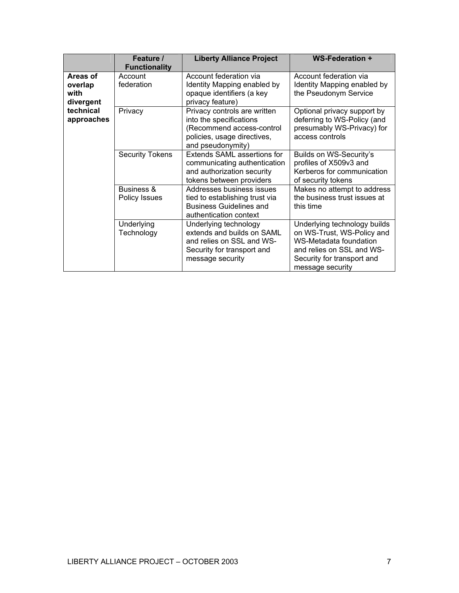|                                                                     | Feature /<br><b>Functionality</b> | <b>Liberty Alliance Project</b>                                                                                                          | <b>WS-Federation +</b>                                                                                                                                              |
|---------------------------------------------------------------------|-----------------------------------|------------------------------------------------------------------------------------------------------------------------------------------|---------------------------------------------------------------------------------------------------------------------------------------------------------------------|
| Areas of<br>overlap<br>with<br>divergent<br>technical<br>approaches | Account<br>federation             | Account federation via<br>Identity Mapping enabled by<br>opaque identifiers (a key<br>privacy feature)                                   | Account federation via<br>Identity Mapping enabled by<br>the Pseudonym Service                                                                                      |
|                                                                     | Privacy                           | Privacy controls are written<br>into the specifications<br>(Recommend access-control<br>policies, usage directives,<br>and pseudonymity) | Optional privacy support by<br>deferring to WS-Policy (and<br>presumably WS-Privacy) for<br>access controls                                                         |
|                                                                     | <b>Security Tokens</b>            | Extends SAML assertions for<br>communicating authentication<br>and authorization security<br>tokens between providers                    | Builds on WS-Security's<br>profiles of X509v3 and<br>Kerberos for communication<br>of security tokens                                                               |
|                                                                     | Business &<br>Policy Issues       | Addresses business issues<br>tied to establishing trust via<br><b>Business Guidelines and</b><br>authentication context                  | Makes no attempt to address<br>the business trust issues at<br>this time                                                                                            |
|                                                                     | Underlying<br>Technology          | Underlying technology<br>extends and builds on SAML<br>and relies on SSL and WS-<br>Security for transport and<br>message security       | Underlying technology builds<br>on WS-Trust, WS-Policy and<br>WS-Metadata foundation<br>and relies on SSL and WS-<br>Security for transport and<br>message security |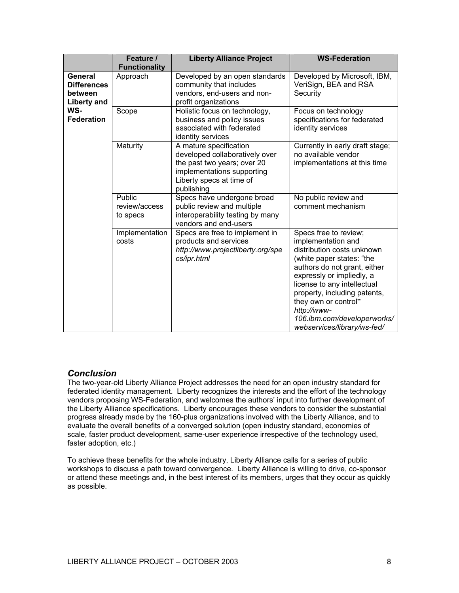|                                                                                     | Feature /<br><b>Functionality</b>   | <b>Liberty Alliance Project</b>                                                                                                                                 | <b>WS-Federation</b>                                                                                                                                                                                                                                                                                                                    |
|-------------------------------------------------------------------------------------|-------------------------------------|-----------------------------------------------------------------------------------------------------------------------------------------------------------------|-----------------------------------------------------------------------------------------------------------------------------------------------------------------------------------------------------------------------------------------------------------------------------------------------------------------------------------------|
| General<br><b>Differences</b><br>between<br>Liberty and<br>WS-<br><b>Federation</b> | Approach                            | Developed by an open standards<br>community that includes<br>vendors, end-users and non-<br>profit organizations                                                | Developed by Microsoft, IBM,<br>VeriSign, BEA and RSA<br>Security                                                                                                                                                                                                                                                                       |
|                                                                                     | Scope                               | Holistic focus on technology,<br>business and policy issues<br>associated with federated<br>identity services                                                   | Focus on technology<br>specifications for federated<br>identity services                                                                                                                                                                                                                                                                |
|                                                                                     | Maturity                            | A mature specification<br>developed collaboratively over<br>the past two years; over 20<br>implementations supporting<br>Liberty specs at time of<br>publishing | Currently in early draft stage;<br>no available vendor<br>implementations at this time                                                                                                                                                                                                                                                  |
|                                                                                     | Public<br>review/access<br>to specs | Specs have undergone broad<br>public review and multiple<br>interoperability testing by many<br>vendors and end-users                                           | No public review and<br>comment mechanism                                                                                                                                                                                                                                                                                               |
|                                                                                     | Implementation<br>costs             | Specs are free to implement in<br>products and services<br>http://www.projectliberty.org/spe<br>cs/ipr.html                                                     | Specs free to review;<br>implementation and<br>distribution costs unknown<br>(white paper states: "the<br>authors do not grant, either<br>expressly or impliedly, a<br>license to any intellectual<br>property, including patents,<br>they own or control"<br>http://www-<br>106.ibm.com/developerworks/<br>webservices/library/ws-fed/ |

## *Conclusion*

The two-year-old Liberty Alliance Project addresses the need for an open industry standard for federated identity management. Liberty recognizes the interests and the effort of the technology vendors proposing WS-Federation, and welcomes the authors' input into further development of the Liberty Alliance specifications. Liberty encourages these vendors to consider the substantial progress already made by the 160-plus organizations involved with the Liberty Alliance, and to evaluate the overall benefits of a converged solution (open industry standard, economies of scale, faster product development, same-user experience irrespective of the technology used, faster adoption, etc.)

To achieve these benefits for the whole industry, Liberty Alliance calls for a series of public workshops to discuss a path toward convergence. Liberty Alliance is willing to drive, co-sponsor or attend these meetings and, in the best interest of its members, urges that they occur as quickly as possible.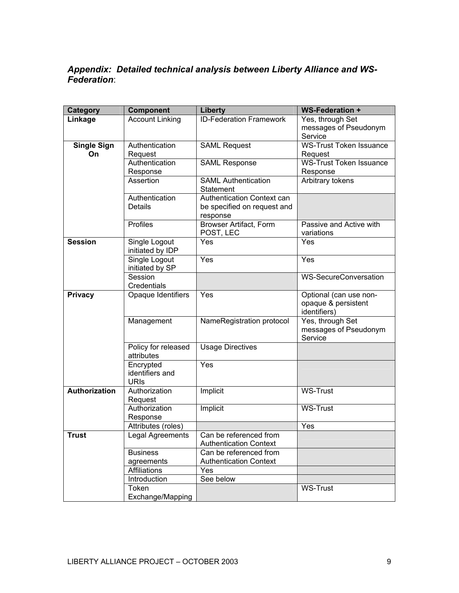# *Appendix: Detailed technical analysis between Liberty Alliance and WS-Federation*:

| Category           | <b>Component</b>                  | <b>Liberty</b>                 | <b>WS-Federation +</b>           |
|--------------------|-----------------------------------|--------------------------------|----------------------------------|
| Linkage            | <b>Account Linking</b>            | <b>ID-Federation Framework</b> | Yes, through Set                 |
|                    |                                   |                                | messages of Pseudonym<br>Service |
| <b>Single Sign</b> | Authentication                    | <b>SAML Request</b>            | <b>WS-Trust Token Issuance</b>   |
| On.                | Request                           |                                | Request                          |
|                    | Authentication                    | <b>SAML Response</b>           | <b>WS-Trust Token Issuance</b>   |
|                    | Response                          |                                | Response                         |
|                    | Assertion                         | <b>SAML Authentication</b>     | Arbitrary tokens                 |
|                    |                                   | Statement                      |                                  |
|                    | Authentication                    | Authentication Context can     |                                  |
|                    | <b>Details</b>                    | be specified on request and    |                                  |
|                    |                                   | response                       |                                  |
|                    | Profiles                          | <b>Browser Artifact, Form</b>  | Passive and Active with          |
|                    |                                   | POST, LEC                      | variations                       |
| <b>Session</b>     | Single Logout<br>initiated by IDP | Yes                            | Yes                              |
|                    | Single Logout                     | Yes                            | Yes                              |
|                    | initiated by SP                   |                                |                                  |
|                    | Session                           |                                | <b>WS-SecureConversation</b>     |
|                    | Credentials                       |                                |                                  |
| <b>Privacy</b>     | Opaque Identifiers                | Yes                            | Optional (can use non-           |
|                    |                                   |                                | opaque & persistent              |
|                    |                                   |                                | identifiers)                     |
|                    | Management                        | NameRegistration protocol      | Yes, through Set                 |
|                    |                                   |                                | messages of Pseudonym            |
|                    |                                   |                                | Service                          |
|                    | Policy for released<br>attributes | <b>Usage Directives</b>        |                                  |
|                    | Encrypted                         | Yes                            |                                  |
|                    | identifiers and                   |                                |                                  |
|                    | <b>URIs</b>                       |                                |                                  |
| Authorization      | Authorization                     | Implicit                       | <b>WS-Trust</b>                  |
|                    | Request                           |                                |                                  |
|                    | Authorization                     | Implicit                       | <b>WS-Trust</b>                  |
|                    | Response                          |                                |                                  |
|                    | Attributes (roles)                |                                | Yes                              |
| <b>Trust</b>       | Legal Agreements                  | Can be referenced from         |                                  |
|                    |                                   | <b>Authentication Context</b>  |                                  |
|                    | <b>Business</b>                   | Can be referenced from         |                                  |
|                    | agreements                        | <b>Authentication Context</b>  |                                  |
|                    | Affiliations                      | Yes                            |                                  |
|                    | Introduction                      | See below                      |                                  |
|                    | Token                             |                                | <b>WS-Trust</b>                  |
|                    | Exchange/Mapping                  |                                |                                  |